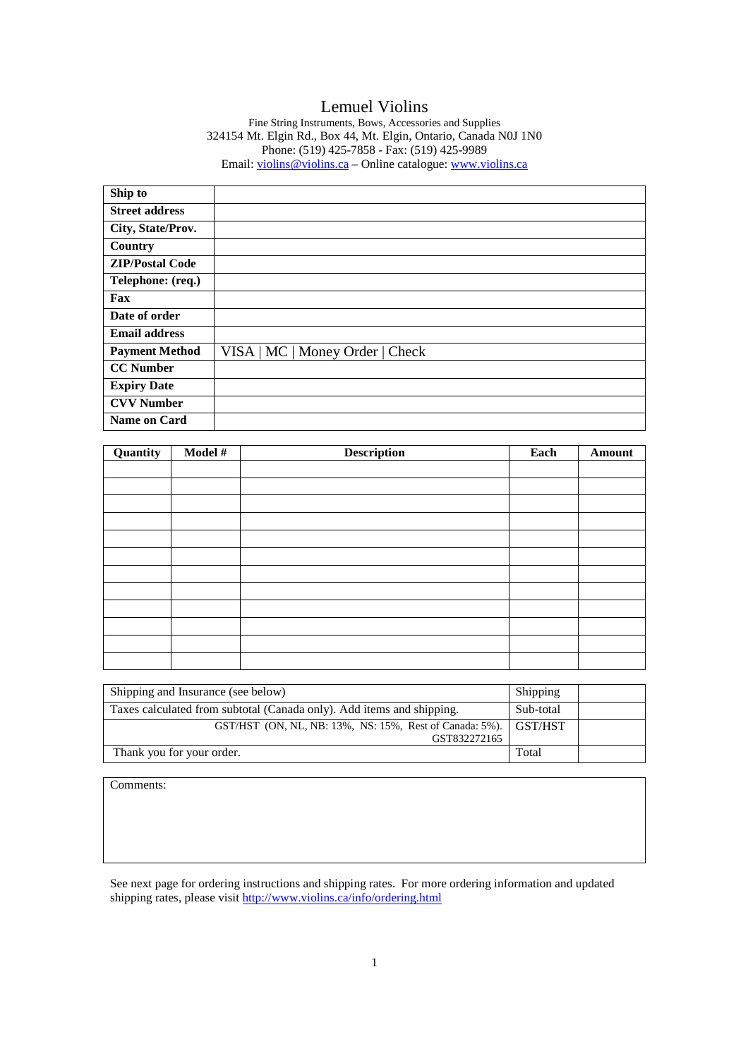# Lemuel Violins

Fine String Instruments, Bows, Accessories and Supplies 324154 Mt. Elgin Rd., Box 44, Mt. Elgin, Ontario, Canada N0J 1N0 Phone: (519) 425-7858 - Fax: (519) 425-9989 Email: violins@violins.ca – Online catalogue: www.violins.ca

| Ship to                |                                 |
|------------------------|---------------------------------|
| <b>Street address</b>  |                                 |
| City, State/Prov.      |                                 |
| Country                |                                 |
| <b>ZIP/Postal Code</b> |                                 |
| Telephone: (req.)      |                                 |
| Fax                    |                                 |
| Date of order          |                                 |
| <b>Email address</b>   |                                 |
| <b>Payment Method</b>  | VISA   MC   Money Order   Check |
| <b>CC Number</b>       |                                 |
| <b>Expiry Date</b>     |                                 |
| <b>CVV Number</b>      |                                 |
| <b>Name on Card</b>    |                                 |

| Quantity | Model # | <b>Description</b> | Each | Amount |
|----------|---------|--------------------|------|--------|
|          |         |                    |      |        |
|          |         |                    |      |        |
|          |         |                    |      |        |
|          |         |                    |      |        |
|          |         |                    |      |        |
|          |         |                    |      |        |
|          |         |                    |      |        |
|          |         |                    |      |        |
|          |         |                    |      |        |
|          |         |                    |      |        |
|          |         |                    |      |        |
|          |         |                    |      |        |

| Shipping and Insurance (see below)                                      |         |  |
|-------------------------------------------------------------------------|---------|--|
| Taxes calculated from subtotal (Canada only). Add items and shipping.   |         |  |
| GST/HST (ON, NL, NB: 13%, NS: 15%, Rest of Canada: 5%).<br>GST832272165 | GST/HST |  |
| Thank you for your order.                                               | Total   |  |

Comments:

See next page for ordering instructions and shipping rates. For more ordering information and updated shipping rates, please visit http://www.violins.ca/info/ordering.html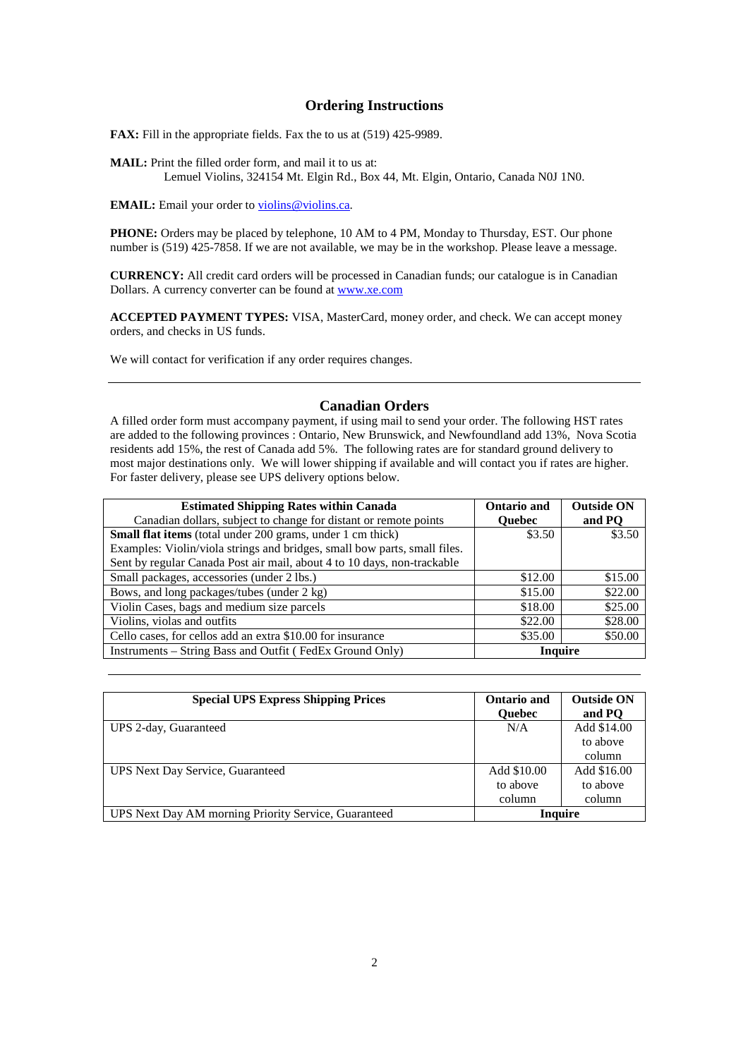### **Ordering Instructions**

**FAX:** Fill in the appropriate fields. Fax the to us at (519) 425-9989.

**MAIL:** Print the filled order form, and mail it to us at: Lemuel Violins, 324154 Mt. Elgin Rd., Box 44, Mt. Elgin, Ontario, Canada N0J 1N0.

**EMAIL:** Email your order to violins@violins.ca.

**PHONE:** Orders may be placed by telephone, 10 AM to 4 PM, Monday to Thursday, EST. Our phone number is (519) 425-7858. If we are not available, we may be in the workshop. Please leave a message.

**CURRENCY:** All credit card orders will be processed in Canadian funds; our catalogue is in Canadian Dollars. A currency converter can be found at www.xe.com

**ACCEPTED PAYMENT TYPES:** VISA, MasterCard, money order, and check. We can accept money orders, and checks in US funds.

We will contact for verification if any order requires changes.

### **Canadian Orders**

A filled order form must accompany payment, if using mail to send your order. The following HST rates are added to the following provinces : Ontario, New Brunswick, and Newfoundland add 13%, Nova Scotia residents add 15%, the rest of Canada add 5%. The following rates are for standard ground delivery to most major destinations only. We will lower shipping if available and will contact you if rates are higher. For faster delivery, please see UPS delivery options below.

| <b>Estimated Shipping Rates within Canada</b>                             | Ontario and   | <b>Outside ON</b> |
|---------------------------------------------------------------------------|---------------|-------------------|
| Canadian dollars, subject to change for distant or remote points          | <b>Ouebec</b> | and PO            |
| <b>Small flat items</b> (total under 200 grams, under 1 cm thick)         | \$3.50        | \$3.50            |
| Examples: Violin/viola strings and bridges, small bow parts, small files. |               |                   |
| Sent by regular Canada Post air mail, about 4 to 10 days, non-trackable   |               |                   |
| Small packages, accessories (under 2 lbs.)                                | \$12.00       | \$15.00           |
| Bows, and long packages/tubes (under 2 kg)                                | \$15.00       | \$22.00           |
| Violin Cases, bags and medium size parcels                                | \$18.00       | \$25.00           |
| Violins, violas and outfits                                               | \$22.00       | \$28.00           |
| Cello cases, for cellos add an extra \$10.00 for insurance                | \$35.00       | \$50.00           |
| Instruments - String Bass and Outfit (FedEx Ground Only)                  | Inquire       |                   |

| <b>Special UPS Express Shipping Prices</b>           | Ontario and<br><b>Ouebec</b> | <b>Outside ON</b><br>and PO |
|------------------------------------------------------|------------------------------|-----------------------------|
| UPS 2-day, Guaranteed                                | N/A                          | Add \$14.00                 |
|                                                      |                              | to above                    |
|                                                      |                              | column                      |
| UPS Next Day Service, Guaranteed                     | Add \$10.00                  | Add \$16.00                 |
|                                                      | to above                     | to above                    |
|                                                      | column                       | column                      |
| UPS Next Day AM morning Priority Service, Guaranteed | <b>Inquire</b>               |                             |